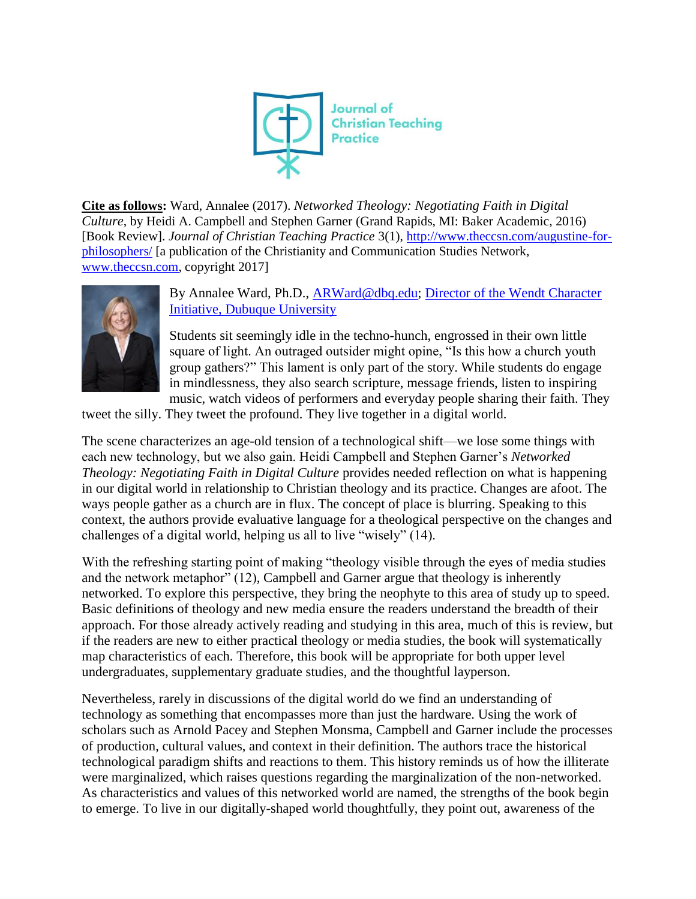

**Cite as follows:** Ward, Annalee (2017). *Networked Theology: Negotiating Faith in Digital Culture*, by Heidi A. Campbell and Stephen Garner (Grand Rapids, MI: Baker Academic, 2016) [Book Review]. *Journal of Christian Teaching Practice* 3(1), [http://www.theccsn.com/augustine-for](http://www.theccsn.com/augustine-for-philosophers/)[philosophers/](http://www.theccsn.com/augustine-for-philosophers/) [a publication of the Christianity and Communication Studies Network, [www.theccsn.com,](www.theccsn.com) copyright 2017]



## By Annalee Ward, Ph.D., [ARWard@dbq.edu;](mailto:ARWard@dbq.edu) [Director of the Wendt Character](http://www.dbq.edu/Wendt/About/Staff/)  [Initiative, Dubuque University](http://www.dbq.edu/Wendt/About/Staff/)

Students sit seemingly idle in the techno-hunch, engrossed in their own little square of light. An outraged outsider might opine, "Is this how a church youth group gathers?" This lament is only part of the story. While students do engage in mindlessness, they also search scripture, message friends, listen to inspiring music, watch videos of performers and everyday people sharing their faith. They

tweet the silly. They tweet the profound. They live together in a digital world.

The scene characterizes an age-old tension of a technological shift—we lose some things with each new technology, but we also gain. Heidi Campbell and Stephen Garner's *Networked Theology: Negotiating Faith in Digital Culture* provides needed reflection on what is happening in our digital world in relationship to Christian theology and its practice. Changes are afoot. The ways people gather as a church are in flux. The concept of place is blurring. Speaking to this context, the authors provide evaluative language for a theological perspective on the changes and challenges of a digital world, helping us all to live "wisely" (14).

With the refreshing starting point of making "theology visible through the eyes of media studies and the network metaphor" (12), Campbell and Garner argue that theology is inherently networked. To explore this perspective, they bring the neophyte to this area of study up to speed. Basic definitions of theology and new media ensure the readers understand the breadth of their approach. For those already actively reading and studying in this area, much of this is review, but if the readers are new to either practical theology or media studies, the book will systematically map characteristics of each. Therefore, this book will be appropriate for both upper level undergraduates, supplementary graduate studies, and the thoughtful layperson.

Nevertheless, rarely in discussions of the digital world do we find an understanding of technology as something that encompasses more than just the hardware. Using the work of scholars such as Arnold Pacey and Stephen Monsma, Campbell and Garner include the processes of production, cultural values, and context in their definition. The authors trace the historical technological paradigm shifts and reactions to them. This history reminds us of how the illiterate were marginalized, which raises questions regarding the marginalization of the non-networked. As characteristics and values of this networked world are named, the strengths of the book begin to emerge. To live in our digitally-shaped world thoughtfully, they point out, awareness of the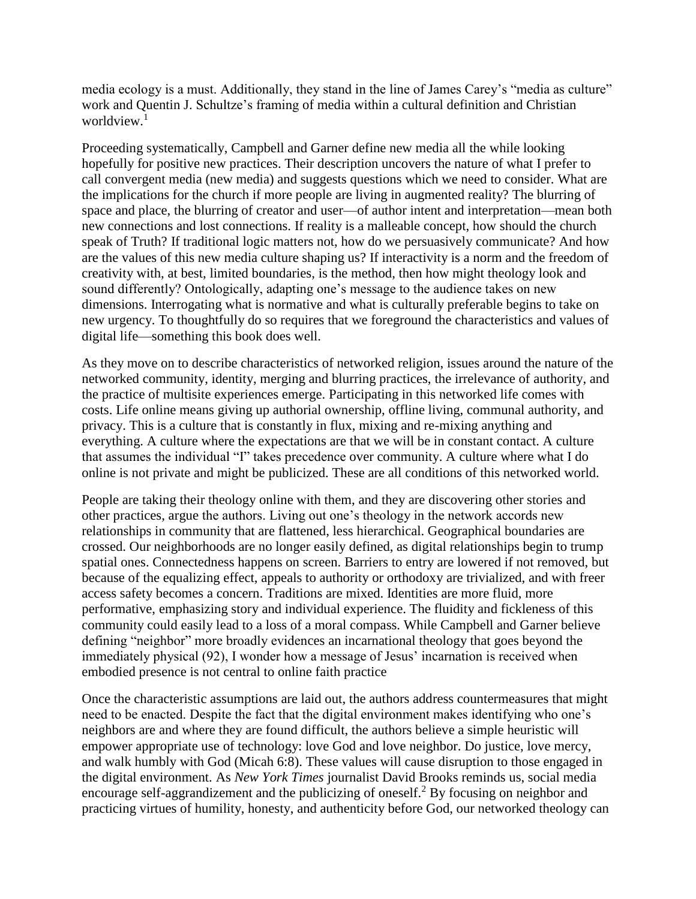media ecology is a must. Additionally, they stand in the line of James Carey's "media as culture" work and Quentin J. Schultze's framing of media within a cultural definition and Christian worldview.<sup>1</sup>

Proceeding systematically, Campbell and Garner define new media all the while looking hopefully for positive new practices. Their description uncovers the nature of what I prefer to call convergent media (new media) and suggests questions which we need to consider. What are the implications for the church if more people are living in augmented reality? The blurring of space and place, the blurring of creator and user—of author intent and interpretation—mean both new connections and lost connections. If reality is a malleable concept, how should the church speak of Truth? If traditional logic matters not, how do we persuasively communicate? And how are the values of this new media culture shaping us? If interactivity is a norm and the freedom of creativity with, at best, limited boundaries, is the method, then how might theology look and sound differently? Ontologically, adapting one's message to the audience takes on new dimensions. Interrogating what is normative and what is culturally preferable begins to take on new urgency. To thoughtfully do so requires that we foreground the characteristics and values of digital life—something this book does well.

As they move on to describe characteristics of networked religion, issues around the nature of the networked community, identity, merging and blurring practices, the irrelevance of authority, and the practice of multisite experiences emerge. Participating in this networked life comes with costs. Life online means giving up authorial ownership, offline living, communal authority, and privacy. This is a culture that is constantly in flux, mixing and re-mixing anything and everything. A culture where the expectations are that we will be in constant contact. A culture that assumes the individual "I" takes precedence over community. A culture where what I do online is not private and might be publicized. These are all conditions of this networked world.

People are taking their theology online with them, and they are discovering other stories and other practices, argue the authors. Living out one's theology in the network accords new relationships in community that are flattened, less hierarchical. Geographical boundaries are crossed. Our neighborhoods are no longer easily defined, as digital relationships begin to trump spatial ones. Connectedness happens on screen. Barriers to entry are lowered if not removed, but because of the equalizing effect, appeals to authority or orthodoxy are trivialized, and with freer access safety becomes a concern. Traditions are mixed. Identities are more fluid, more performative, emphasizing story and individual experience. The fluidity and fickleness of this community could easily lead to a loss of a moral compass. While Campbell and Garner believe defining "neighbor" more broadly evidences an incarnational theology that goes beyond the immediately physical (92), I wonder how a message of Jesus' incarnation is received when embodied presence is not central to online faith practice

Once the characteristic assumptions are laid out, the authors address countermeasures that might need to be enacted. Despite the fact that the digital environment makes identifying who one's neighbors are and where they are found difficult, the authors believe a simple heuristic will empower appropriate use of technology: love God and love neighbor. Do justice, love mercy, and walk humbly with God (Micah 6:8). These values will cause disruption to those engaged in the digital environment. As *New York Times* journalist David Brooks reminds us, social media encourage self-aggrandizement and the publicizing of oneself.<sup>2</sup> By focusing on neighbor and practicing virtues of humility, honesty, and authenticity before God, our networked theology can